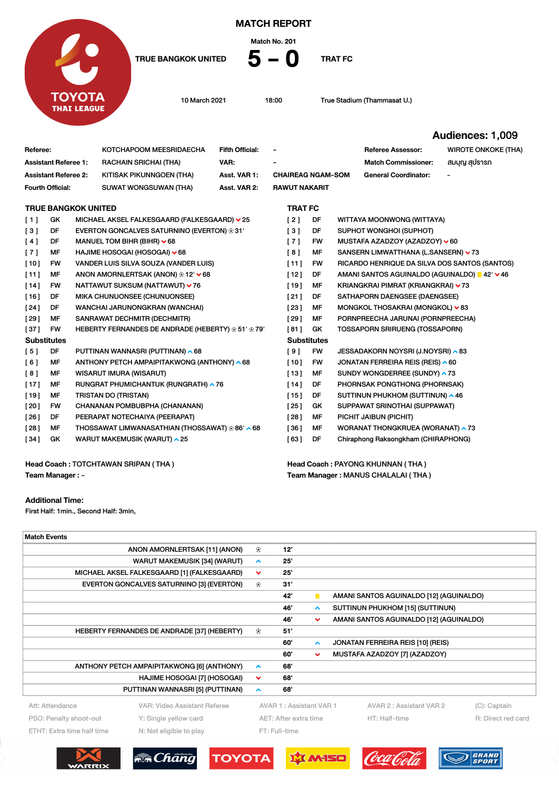

MATCH REPORT

Match No. 201

TRUE BANGKOK UNITED  $5 - 0$  Trat FC

10 March 2021 18:00 True Stadium (Thammasat U.)

Team Manager : MANUS CHALALAI ( THA )

Audiences: 1,009

| Referee:                            |           |  | KOTCHAPOOM MEESRIDAECHA                            | <b>Fifth Official:</b>           | $\overline{\phantom{a}}$ |           |  | <b>Referee Assessor:</b>                      | <b>WIROTE ONKOKE (THA)</b> |
|-------------------------------------|-----------|--|----------------------------------------------------|----------------------------------|--------------------------|-----------|--|-----------------------------------------------|----------------------------|
| <b>Assistant Referee 1:</b>         |           |  | <b>RACHAIN SRICHAI (THA)</b>                       | VAR:                             |                          |           |  | <b>Match Commissioner:</b>                    | สมบุญ สุปรารก              |
| <b>Assistant Referee 2:</b>         |           |  | KITISAK PIKUNNGOEN (THA)                           | Asst. VAR 1:                     | <b>CHAIREAG NGAM-SOM</b> |           |  | <b>General Coordinator:</b>                   |                            |
| Fourth Official:                    |           |  | <b>SUWAT WONGSUWAN (THA)</b>                       | Asst. VAR 2:                     | <b>RAWUT NAKARIT</b>     |           |  |                                               |                            |
| <b>TRUE BANGKOK UNITED</b>          |           |  |                                                    | <b>TRAT FC</b>                   |                          |           |  |                                               |                            |
| [1]                                 | GK        |  | MICHAEL AKSEL FALKESGAARD (FALKESGAARD) v 25       |                                  | [2]                      | DF        |  | WITTAYA MOONWONG (WITTAYA)                    |                            |
| [3]                                 | DF        |  | EVERTON GONCALVES SATURNINO (EVERTON) ⊕ 31'        |                                  | $\lceil 3 \rceil$        | DF        |  | SUPHOT WONGHOI (SUPHOT)                       |                            |
| [4]                                 | DF        |  | MANUEL TOM BIHR (BIHR) $\times$ 68                 |                                  | [7]                      | FW        |  | MUSTAFA AZADZOY (AZADZOY) v 60                |                            |
| [7]                                 | MF        |  | HAJIME HOSOGAI (HOSOGAI) V 68                      |                                  | [8]                      | MF        |  | SANSERN LIMWATTHANA (L.SANSERN) v 73          |                            |
| $[10]$                              | <b>FW</b> |  | VANDER LUIS SILVA SOUZA (VANDER LUIS)              |                                  | [11]                     | FW        |  | RICARDO HENRIQUE DA SILVA DOS SANTOS (SANTOS) |                            |
| [11]                                | MF        |  | ANON AMORNLERTSAK (ANON) ⊛ 12' ∨ 68                |                                  | $[12]$                   | DF        |  | AMANI SANTOS AGUINALDO (AGUINALDO) ■ 42' V 46 |                            |
| $[14]$                              | <b>FW</b> |  | NATTAWUT SUKSUM (NATTAWUT) v 76                    |                                  | $[19]$                   | MF        |  | KRIANGKRAI PIMRAT (KRIANGKRAI) ∨73            |                            |
| [16]                                | DF        |  | MIKA CHUNUONSEE (CHUNUONSEE)                       |                                  | [21]                     | DF        |  | SATHAPORN DAENGSEE (DAENGSEE)                 |                            |
| [24]                                | DF        |  | WANCHAI JARUNONGKRAN (WANCHAI)                     |                                  | [23]                     | MF        |  | MONGKOL THOSAKRAI (MONGKOL) v 83              |                            |
| [29]                                | MF        |  | SANRAWAT DECHMITR (DECHMITR)                       |                                  | [29]                     | MF        |  | PORNPREECHA JARUNAI (PORNPREECHA)             |                            |
| $[37]$                              | <b>FW</b> |  | HEBERTY FERNANDES DE ANDRADE (HEBERTY) ⊛ 51' ⊛ 79' |                                  | [81]                     | GK        |  | <b>TOSSAPORN SRIRUENG (TOSSAPORN)</b>         |                            |
| <b>Substitutes</b>                  |           |  |                                                    |                                  | <b>Substitutes</b>       |           |  |                                               |                            |
| [5]                                 | DF        |  | PUTTINAN WANNASRI (PUTTINAN) ▲ 68                  |                                  | [9]                      | <b>FW</b> |  | JESSADAKORN NOYSRI (J.NOYSRI) ^ 83            |                            |
| [6]                                 | MF        |  | ANTHONY PETCH AMPAIPITAKWONG (ANTHONY) ^ 68        |                                  | [10]                     | FW        |  | JONATAN FERREIRA REIS (REIS) ^ 60             |                            |
| [8]                                 | MF        |  | <b>WISARUT IMURA (WISARUT)</b>                     |                                  | [13]                     | MF        |  | SUNDY WONGDERREE (SUNDY) ^ 73                 |                            |
| $[17]$                              | MF        |  | RUNGRAT PHUMICHANTUK (RUNGRATH) ^76                |                                  | $[14]$                   | DF        |  | PHORNSAK PONGTHONG (PHORNSAK)                 |                            |
| $[19]$                              | MF        |  | <b>TRISTAN DO (TRISTAN)</b>                        |                                  | $[15]$                   | DF        |  | SUTTINUN PHUKHOM (SUTTINUN) ^ 46              |                            |
| [20]                                | <b>FW</b> |  | CHANANAN POMBUBPHA (CHANANAN)                      |                                  | [25]                     | GK        |  | SUPPAWAT SRINOTHAI (SUPPAWAT)                 |                            |
| [26]                                | DF        |  | PEERAPAT NOTECHAIYA (PEERAPAT)                     |                                  | [28]                     | MF        |  | PICHIT JAIBUN (PICHIT)                        |                            |
| [28]                                | MF        |  | THOSSAWAT LIMWANASATHIAN (THOSSAWAT) ⊛ 86' ▲ 68    |                                  | [36]                     | MF        |  | WORANAT THONGKRUEA (WORANAT) ▲ 73             |                            |
| [34]                                | GK        |  | WARUT MAKEMUSIK (WARUT) ^ 25                       |                                  | [63]                     | DF        |  | Chiraphong Raksongkham (CHIRAPHONG)           |                            |
| Head Coach: TOTCHTAWAN SRIPAN (THA) |           |  |                                                    | Head Coach: PAYONG KHUNNAN (THA) |                          |           |  |                                               |                            |

Team Manager : -

## Additional Time:

First Half: 1min., Second Half: 3min,

| <b>Match Events</b>                                   |                                             |                       |                         |                  |  |                                         |                    |
|-------------------------------------------------------|---------------------------------------------|-----------------------|-------------------------|------------------|--|-----------------------------------------|--------------------|
|                                                       | ANON AMORNLERTSAK [11] (ANON)               | ⊕                     | 12"                     |                  |  |                                         |                    |
|                                                       | <b>WARUT MAKEMUSIK [34] (WARUT)</b>         | $\hat{\phantom{a}}$   | 25                      |                  |  |                                         |                    |
|                                                       | MICHAEL AKSEL FALKESGAARD [1] (FALKESGAARD) | $\checkmark$          | 25'                     |                  |  |                                         |                    |
| EVERTON GONCALVES SATURNINO [3] (EVERTON)             |                                             |                       | 31'                     |                  |  |                                         |                    |
|                                                       |                                             |                       | 42'                     | П                |  | AMANI SANTOS AGUINALDO [12] (AGUINALDO) |                    |
|                                                       |                                             |                       | 46'                     | $\blacktriangle$ |  | SUTTINUN PHUKHOM [15] (SUTTINUN)        |                    |
|                                                       |                                             |                       | 46'                     | $\checkmark$     |  | AMANI SANTOS AGUINALDO [12] (AGUINALDO) |                    |
| HEBERTY FERNANDES DE ANDRADE [37] (HEBERTY)           |                                             |                       | 51'                     |                  |  |                                         |                    |
|                                                       |                                             |                       | 60'                     | $\blacktriangle$ |  | JONATAN FERREIRA REIS [10] (REIS)       |                    |
|                                                       |                                             |                       | 60'                     | $\checkmark$     |  | MUSTAFA AZADZOY [7] (AZADZOY)           |                    |
| ANTHONY PETCH AMPAIPITAKWONG [6] (ANTHONY)            |                                             |                       | 68'                     |                  |  |                                         |                    |
|                                                       | HAJIME HOSOGAI [7] (HOSOGAI)                | $\checkmark$          | 68'                     |                  |  |                                         |                    |
|                                                       | PUTTINAN WANNASRI [5] (PUTTINAN)            | $\hat{\phantom{a}}$   | 68'                     |                  |  |                                         |                    |
| Att: Attendance                                       | VAR: Video Assistant Referee                |                       | AVAR 1: Assistant VAR 1 |                  |  | AVAR 2 : Assistant VAR 2                | (C): Captain       |
| PSO: Penalty shoot-out<br>Y: Single yellow card       |                                             | AET: After extra time |                         |                  |  | HT: Half-time                           | R: Direct red card |
| ETHT: Extra time half time<br>N: Not eligible to play |                                             |                       | FT: Full-time           |                  |  |                                         |                    |
|                                                       |                                             |                       |                         |                  |  |                                         |                    |